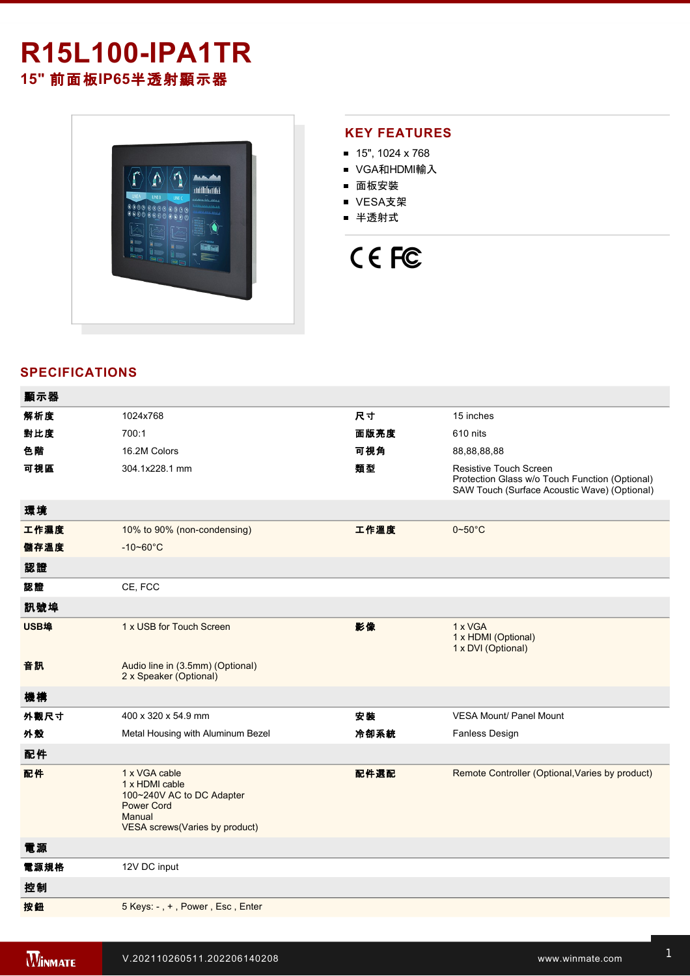# **R15L100-IPA1TR 15"** 前面板**IP65**半透射顯示器



## **KEY FEATURES**

- 15", 1024 x 768
- VGA和HDMI輸入
- 面板安裝
- VESA支架
- 半透射式

# CE FC

# **SPECIFICATIONS**

| 顯示器  |                                                                                                                               |      |                                                                                                                                 |
|------|-------------------------------------------------------------------------------------------------------------------------------|------|---------------------------------------------------------------------------------------------------------------------------------|
| 解析度  | 1024x768                                                                                                                      | 尺寸   | 15 inches                                                                                                                       |
| 對比度  | 700:1                                                                                                                         | 面版亮度 | 610 nits                                                                                                                        |
| 色階   | 16.2M Colors                                                                                                                  | 可視角  | 88,88,88,88                                                                                                                     |
| 可視區  | 304.1x228.1 mm                                                                                                                | 類型   | <b>Resistive Touch Screen</b><br>Protection Glass w/o Touch Function (Optional)<br>SAW Touch (Surface Acoustic Wave) (Optional) |
| 環境   |                                                                                                                               |      |                                                                                                                                 |
| 工作濕度 | 10% to 90% (non-condensing)                                                                                                   | 工作溫度 | $0 - 50$ °C                                                                                                                     |
| 儲存溫度 | $-10 - 60^{\circ}$ C                                                                                                          |      |                                                                                                                                 |
| 認證   |                                                                                                                               |      |                                                                                                                                 |
| 認證   | CE, FCC                                                                                                                       |      |                                                                                                                                 |
| 訊號埠  |                                                                                                                               |      |                                                                                                                                 |
| USB埠 | 1 x USB for Touch Screen                                                                                                      | 影像   | 1 x VGA<br>1 x HDMI (Optional)<br>1 x DVI (Optional)                                                                            |
| 音訊   | Audio line in (3.5mm) (Optional)<br>2 x Speaker (Optional)                                                                    |      |                                                                                                                                 |
| 機構   |                                                                                                                               |      |                                                                                                                                 |
| 外觀尺寸 | 400 x 320 x 54.9 mm                                                                                                           | 安裝   | <b>VESA Mount/ Panel Mount</b>                                                                                                  |
| 外殼   | Metal Housing with Aluminum Bezel                                                                                             | 冷卻系統 | Fanless Design                                                                                                                  |
| 配件   |                                                                                                                               |      |                                                                                                                                 |
| 配件   | 1 x VGA cable<br>1 x HDMI cable<br>100~240V AC to DC Adapter<br><b>Power Cord</b><br>Manual<br>VESA screws(Varies by product) | 配件選配 | Remote Controller (Optional, Varies by product)                                                                                 |
| 電源   |                                                                                                                               |      |                                                                                                                                 |
| 電源規格 | 12V DC input                                                                                                                  |      |                                                                                                                                 |
| 控制   |                                                                                                                               |      |                                                                                                                                 |
| 按鈕   | 5 Keys: -, +, Power, Esc, Enter                                                                                               |      |                                                                                                                                 |